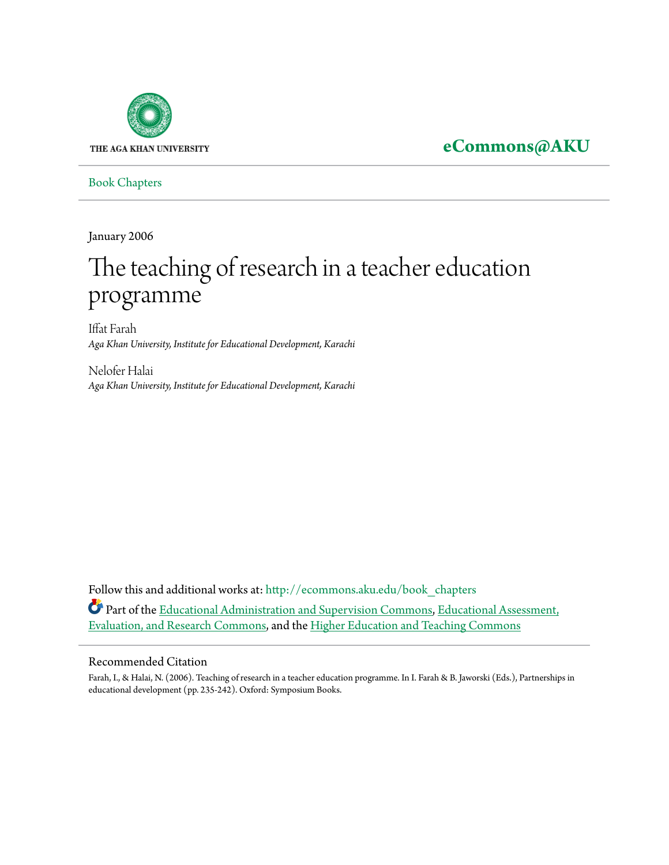

**[eCommons@AKU](http://ecommons.aku.edu?utm_source=ecommons.aku.edu%2Fbook_chapters%2F13&utm_medium=PDF&utm_campaign=PDFCoverPages)**

[Book Chapters](http://ecommons.aku.edu/book_chapters?utm_source=ecommons.aku.edu%2Fbook_chapters%2F13&utm_medium=PDF&utm_campaign=PDFCoverPages)

January 2006

# The teaching of research in a teacher education programme

Iffat Farah *Aga Khan University, Institute for Educational Development, Karachi*

Nelofer Halai *Aga Khan University, Institute for Educational Development, Karachi*

Follow this and additional works at: [http://ecommons.aku.edu/book\\_chapters](http://ecommons.aku.edu/book_chapters?utm_source=ecommons.aku.edu%2Fbook_chapters%2F13&utm_medium=PDF&utm_campaign=PDFCoverPages) Part of the [Educational Administration and Supervision Commons,](http://network.bepress.com/hgg/discipline/787?utm_source=ecommons.aku.edu%2Fbook_chapters%2F13&utm_medium=PDF&utm_campaign=PDFCoverPages) [Educational Assessment,](http://network.bepress.com/hgg/discipline/796?utm_source=ecommons.aku.edu%2Fbook_chapters%2F13&utm_medium=PDF&utm_campaign=PDFCoverPages) [Evaluation, and Research Commons,](http://network.bepress.com/hgg/discipline/796?utm_source=ecommons.aku.edu%2Fbook_chapters%2F13&utm_medium=PDF&utm_campaign=PDFCoverPages) and the [Higher Education and Teaching Commons](http://network.bepress.com/hgg/discipline/806?utm_source=ecommons.aku.edu%2Fbook_chapters%2F13&utm_medium=PDF&utm_campaign=PDFCoverPages)

# Recommended Citation

Farah, I., & Halai, N. (2006). Teaching of research in a teacher education programme. In I. Farah & B. Jaworski (Eds.), Partnerships in educational development (pp. 235-242). Oxford: Symposium Books.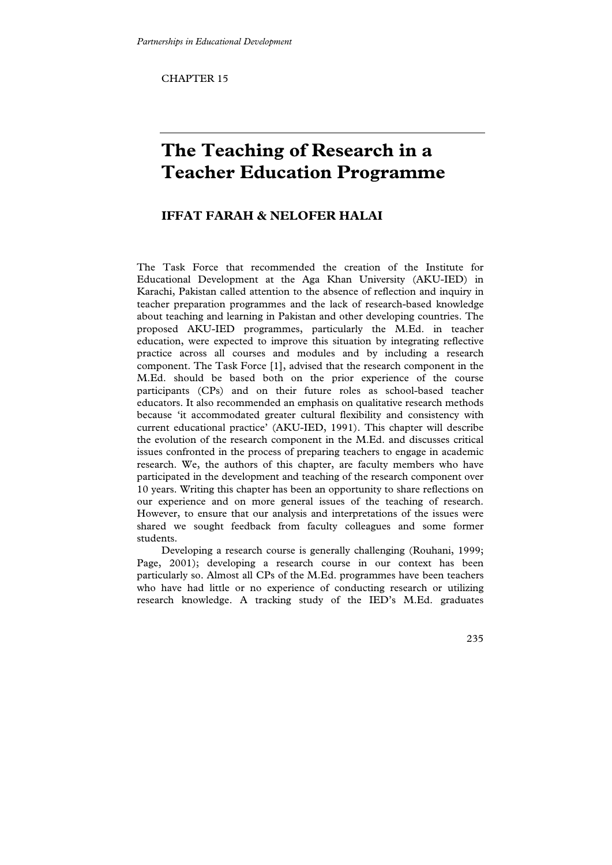CHAPTER 15

# **The Teaching of Research in a Teacher Education Programme**

# **IFFAT FARAH & NELOFER HALAI**

The Task Force that recommended the creation of the Institute for Educational Development at the Aga Khan University (AKU-IED) in Karachi, Pakistan called attention to the absence of reflection and inquiry in teacher preparation programmes and the lack of research-based knowledge about teaching and learning in Pakistan and other developing countries. The proposed AKU-IED programmes, particularly the M.Ed. in teacher education, were expected to improve this situation by integrating reflective practice across all courses and modules and by including a research component. The Task Force [1], advised that the research component in the M.Ed. should be based both on the prior experience of the course participants (CPs) and on their future roles as school-based teacher educators. It also recommended an emphasis on qualitative research methods because 'it accommodated greater cultural flexibility and consistency with current educational practice' (AKU-IED, 1991). This chapter will describe the evolution of the research component in the M.Ed. and discusses critical issues confronted in the process of preparing teachers to engage in academic research. We, the authors of this chapter, are faculty members who have participated in the development and teaching of the research component over 10 years. Writing this chapter has been an opportunity to share reflections on our experience and on more general issues of the teaching of research. However, to ensure that our analysis and interpretations of the issues were shared we sought feedback from faculty colleagues and some former students.

Developing a research course is generally challenging (Rouhani, 1999; Page, 2001); developing a research course in our context has been particularly so. Almost all CPs of the M.Ed. programmes have been teachers who have had little or no experience of conducting research or utilizing research knowledge. A tracking study of the IED's M.Ed. graduates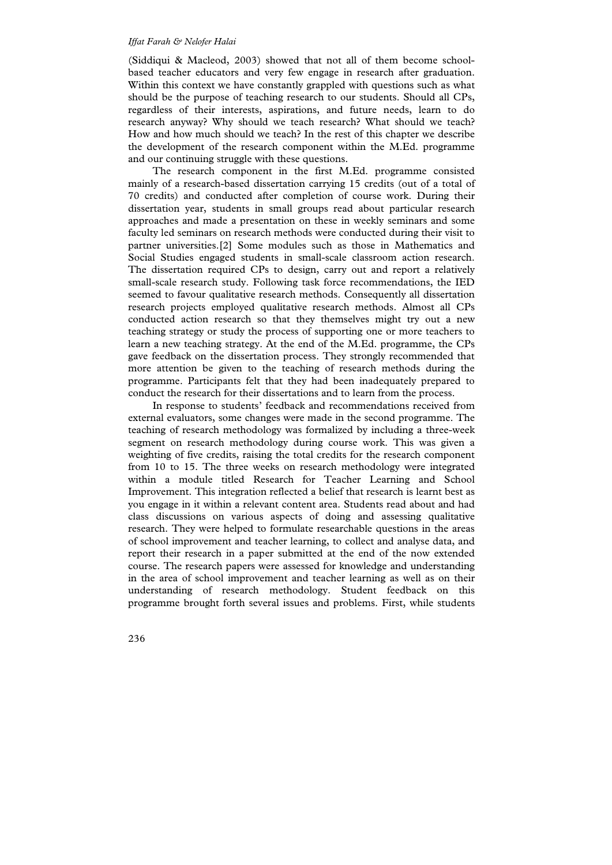(Siddiqui & Macleod, 2003) showed that not all of them become schoolbased teacher educators and very few engage in research after graduation. Within this context we have constantly grappled with questions such as what should be the purpose of teaching research to our students. Should all CPs, regardless of their interests, aspirations, and future needs, learn to do research anyway? Why should we teach research? What should we teach? How and how much should we teach? In the rest of this chapter we describe the development of the research component within the M.Ed. programme and our continuing struggle with these questions.

The research component in the first M.Ed. programme consisted mainly of a research-based dissertation carrying 15 credits (out of a total of 70 credits) and conducted after completion of course work. During their dissertation year, students in small groups read about particular research approaches and made a presentation on these in weekly seminars and some faculty led seminars on research methods were conducted during their visit to partner universities.[2] Some modules such as those in Mathematics and Social Studies engaged students in small-scale classroom action research. The dissertation required CPs to design, carry out and report a relatively small-scale research study. Following task force recommendations, the IED seemed to favour qualitative research methods. Consequently all dissertation research projects employed qualitative research methods. Almost all CPs conducted action research so that they themselves might try out a new teaching strategy or study the process of supporting one or more teachers to learn a new teaching strategy. At the end of the M.Ed. programme, the CPs gave feedback on the dissertation process. They strongly recommended that more attention be given to the teaching of research methods during the programme. Participants felt that they had been inadequately prepared to conduct the research for their dissertations and to learn from the process.

In response to students' feedback and recommendations received from external evaluators, some changes were made in the second programme. The teaching of research methodology was formalized by including a three-week segment on research methodology during course work. This was given a weighting of five credits, raising the total credits for the research component from 10 to 15. The three weeks on research methodology were integrated within a module titled Research for Teacher Learning and School Improvement. This integration reflected a belief that research is learnt best as you engage in it within a relevant content area. Students read about and had class discussions on various aspects of doing and assessing qualitative research. They were helped to formulate researchable questions in the areas of school improvement and teacher learning, to collect and analyse data, and report their research in a paper submitted at the end of the now extended course. The research papers were assessed for knowledge and understanding in the area of school improvement and teacher learning as well as on their understanding of research methodology. Student feedback on this programme brought forth several issues and problems. First, while students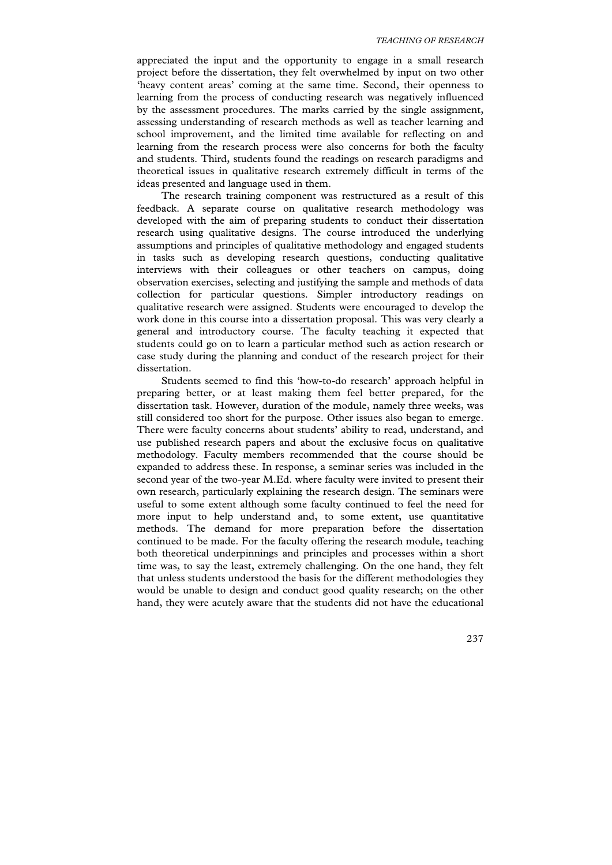appreciated the input and the opportunity to engage in a small research project before the dissertation, they felt overwhelmed by input on two other 'heavy content areas' coming at the same time. Second, their openness to learning from the process of conducting research was negatively influenced by the assessment procedures. The marks carried by the single assignment, assessing understanding of research methods as well as teacher learning and school improvement, and the limited time available for reflecting on and learning from the research process were also concerns for both the faculty and students. Third, students found the readings on research paradigms and theoretical issues in qualitative research extremely difficult in terms of the ideas presented and language used in them.

The research training component was restructured as a result of this feedback. A separate course on qualitative research methodology was developed with the aim of preparing students to conduct their dissertation research using qualitative designs. The course introduced the underlying assumptions and principles of qualitative methodology and engaged students in tasks such as developing research questions, conducting qualitative interviews with their colleagues or other teachers on campus, doing observation exercises, selecting and justifying the sample and methods of data collection for particular questions. Simpler introductory readings on qualitative research were assigned. Students were encouraged to develop the work done in this course into a dissertation proposal. This was very clearly a general and introductory course. The faculty teaching it expected that students could go on to learn a particular method such as action research or case study during the planning and conduct of the research project for their dissertation.

Students seemed to find this 'how-to-do research' approach helpful in preparing better, or at least making them feel better prepared, for the dissertation task. However, duration of the module, namely three weeks, was still considered too short for the purpose. Other issues also began to emerge. There were faculty concerns about students' ability to read, understand, and use published research papers and about the exclusive focus on qualitative methodology. Faculty members recommended that the course should be expanded to address these. In response, a seminar series was included in the second year of the two-year M.Ed. where faculty were invited to present their own research, particularly explaining the research design. The seminars were useful to some extent although some faculty continued to feel the need for more input to help understand and, to some extent, use quantitative methods. The demand for more preparation before the dissertation continued to be made. For the faculty offering the research module, teaching both theoretical underpinnings and principles and processes within a short time was, to say the least, extremely challenging. On the one hand, they felt that unless students understood the basis for the different methodologies they would be unable to design and conduct good quality research; on the other hand, they were acutely aware that the students did not have the educational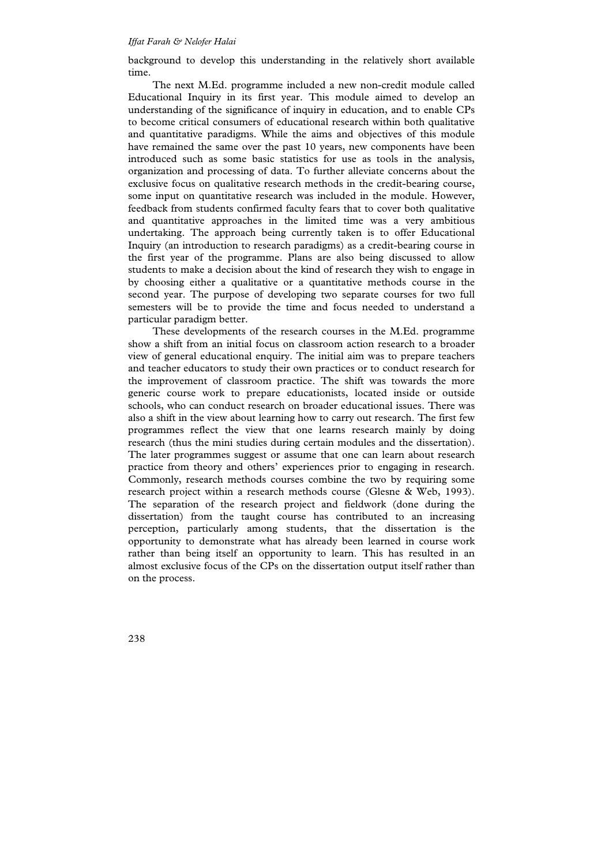background to develop this understanding in the relatively short available time.

The next M.Ed. programme included a new non-credit module called Educational Inquiry in its first year. This module aimed to develop an understanding of the significance of inquiry in education, and to enable CPs to become critical consumers of educational research within both qualitative and quantitative paradigms. While the aims and objectives of this module have remained the same over the past 10 years, new components have been introduced such as some basic statistics for use as tools in the analysis, organization and processing of data. To further alleviate concerns about the exclusive focus on qualitative research methods in the credit-bearing course, some input on quantitative research was included in the module. However, feedback from students confirmed faculty fears that to cover both qualitative and quantitative approaches in the limited time was a very ambitious undertaking. The approach being currently taken is to offer Educational Inquiry (an introduction to research paradigms) as a credit-bearing course in the first year of the programme. Plans are also being discussed to allow students to make a decision about the kind of research they wish to engage in by choosing either a qualitative or a quantitative methods course in the second year. The purpose of developing two separate courses for two full semesters will be to provide the time and focus needed to understand a particular paradigm better.

These developments of the research courses in the M.Ed. programme show a shift from an initial focus on classroom action research to a broader view of general educational enquiry. The initial aim was to prepare teachers and teacher educators to study their own practices or to conduct research for the improvement of classroom practice. The shift was towards the more generic course work to prepare educationists, located inside or outside schools, who can conduct research on broader educational issues. There was also a shift in the view about learning how to carry out research. The first few programmes reflect the view that one learns research mainly by doing research (thus the mini studies during certain modules and the dissertation). The later programmes suggest or assume that one can learn about research practice from theory and others' experiences prior to engaging in research. Commonly, research methods courses combine the two by requiring some research project within a research methods course (Glesne & Web, 1993). The separation of the research project and fieldwork (done during the dissertation) from the taught course has contributed to an increasing perception, particularly among students, that the dissertation is the opportunity to demonstrate what has already been learned in course work rather than being itself an opportunity to learn. This has resulted in an almost exclusive focus of the CPs on the dissertation output itself rather than on the process.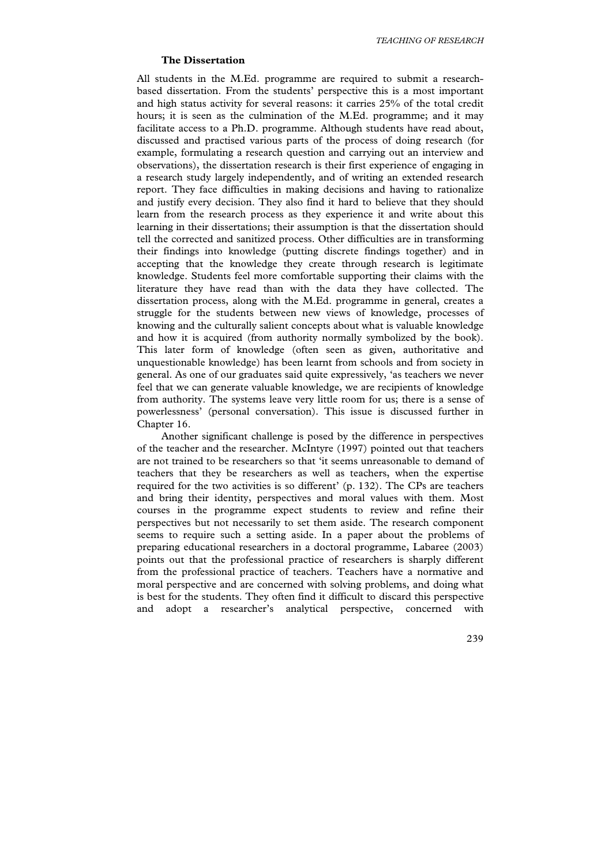# **The Dissertation**

All students in the M.Ed. programme are required to submit a researchbased dissertation. From the students' perspective this is a most important and high status activity for several reasons: it carries 25% of the total credit hours; it is seen as the culmination of the M.Ed. programme; and it may facilitate access to a Ph.D. programme. Although students have read about, discussed and practised various parts of the process of doing research (for example, formulating a research question and carrying out an interview and observations), the dissertation research is their first experience of engaging in a research study largely independently, and of writing an extended research report. They face difficulties in making decisions and having to rationalize and justify every decision. They also find it hard to believe that they should learn from the research process as they experience it and write about this learning in their dissertations; their assumption is that the dissertation should tell the corrected and sanitized process. Other difficulties are in transforming their findings into knowledge (putting discrete findings together) and in accepting that the knowledge they create through research is legitimate knowledge. Students feel more comfortable supporting their claims with the literature they have read than with the data they have collected. The dissertation process, along with the M.Ed. programme in general, creates a struggle for the students between new views of knowledge, processes of knowing and the culturally salient concepts about what is valuable knowledge and how it is acquired (from authority normally symbolized by the book). This later form of knowledge (often seen as given, authoritative and unquestionable knowledge) has been learnt from schools and from society in general. As one of our graduates said quite expressively, 'as teachers we never feel that we can generate valuable knowledge, we are recipients of knowledge from authority. The systems leave very little room for us; there is a sense of powerlessness' (personal conversation). This issue is discussed further in Chapter 16.

Another significant challenge is posed by the difference in perspectives of the teacher and the researcher. McIntyre (1997) pointed out that teachers are not trained to be researchers so that 'it seems unreasonable to demand of teachers that they be researchers as well as teachers, when the expertise required for the two activities is so different' (p. 132). The CPs are teachers and bring their identity, perspectives and moral values with them. Most courses in the programme expect students to review and refine their perspectives but not necessarily to set them aside. The research component seems to require such a setting aside. In a paper about the problems of preparing educational researchers in a doctoral programme, Labaree (2003) points out that the professional practice of researchers is sharply different from the professional practice of teachers. Teachers have a normative and moral perspective and are concerned with solving problems, and doing what is best for the students. They often find it difficult to discard this perspective and adopt a researcher's analytical perspective, concerned with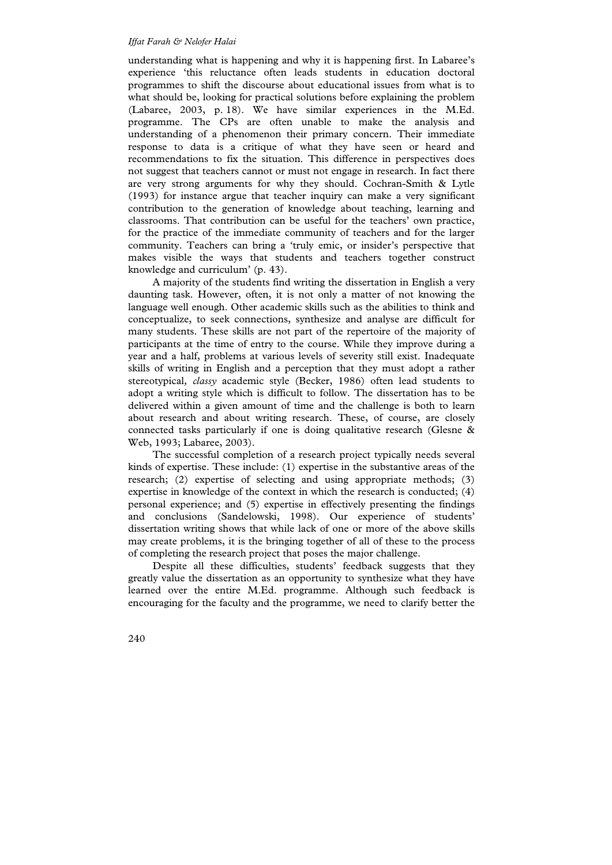understanding what is happening and why it is happening first. In Labaree's experience 'this reluctance often leads students in education doctoral programmes to shift the discourse about educational issues from what is to what should be, looking for practical solutions before explaining the problem (Labaree, 2003, p. 18). We have similar experiences in the M.Ed. programme. The CPs are often unable to make the analysis and understanding of a phenomenon their primary concern. Their immediate response to data is a critique of what they have seen or heard and recommendations to fix the situation. This difference in perspectives does not suggest that teachers cannot or must not engage in research. In fact there are very strong arguments for why they should. Cochran-Smith & Lytle (1993) for instance argue that teacher inquiry can make a very significant contribution to the generation of knowledge about teaching, learning and classrooms. That contribution can be useful for the teachers' own practice, for the practice of the immediate community of teachers and for the larger community. Teachers can bring a 'truly emic, or insider's perspective that makes visible the ways that students and teachers together construct knowledge and curriculum' (p. 43).

A majority of the students find writing the dissertation in English a very daunting task. However, often, it is not only a matter of not knowing the language well enough. Other academic skills such as the abilities to think and conceptualize, to seek connections, synthesize and analyse are difficult for many students. These skills are not part of the repertoire of the majority of participants at the time of entry to the course. While they improve during a year and a half, problems at various levels of severity still exist. Inadequate skills of writing in English and a perception that they must adopt a rather stereotypical*, classy* academic style (Becker, 1986) often lead students to adopt a writing style which is difficult to follow. The dissertation has to be delivered within a given amount of time and the challenge is both to learn about research and about writing research. These, of course, are closely connected tasks particularly if one is doing qualitative research (Glesne & Web, 1993; Labaree, 2003).

The successful completion of a research project typically needs several kinds of expertise. These include: (1) expertise in the substantive areas of the research; (2) expertise of selecting and using appropriate methods; (3) expertise in knowledge of the context in which the research is conducted; (4) personal experience; and (5) expertise in effectively presenting the findings and conclusions (Sandelowski, 1998). Our experience of students' dissertation writing shows that while lack of one or more of the above skills may create problems, it is the bringing together of all of these to the process of completing the research project that poses the major challenge.

Despite all these difficulties, students' feedback suggests that they greatly value the dissertation as an opportunity to synthesize what they have learned over the entire M.Ed. programme. Although such feedback is encouraging for the faculty and the programme, we need to clarify better the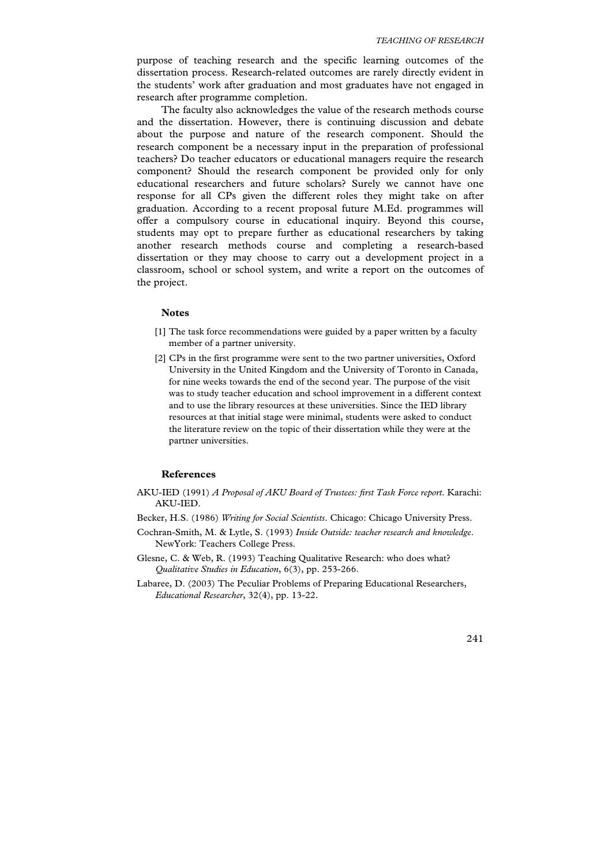purpose of teaching research and the specific learning outcomes of the dissertation process. Research-related outcomes are rarely directly evident in the students' work after graduation and most graduates have not engaged in research after programme completion.

The faculty also acknowledges the value of the research methods course and the dissertation. However, there is continuing discussion and debate about the purpose and nature of the research component. Should the research component be a necessary input in the preparation of professional teachers? Do teacher educators or educational managers require the research component? Should the research component be provided only for only educational researchers and future scholars? Surely we cannot have one response for all CPs given the different roles they might take on after graduation. According to a recent proposal future M.Ed. programmes will offer a compulsory course in educational inquiry. Beyond this course, students may opt to prepare further as educational researchers by taking another research methods course and completing a research-based dissertation or they may choose to carry out a development project in a classroom, school or school system, and write a report on the outcomes of the project.

#### **Notes**

- [1] The task force recommendations were guided by a paper written by a faculty member of a partner university.
- [2] CPs in the first programme were sent to the two partner universities, Oxford University in the United Kingdom and the University of Toronto in Canada, for nine weeks towards the end of the second year. The purpose of the visit was to study teacher education and school improvement in a different context and to use the library resources at these universities. Since the IED library resources at that initial stage were minimal, students were asked to conduct the literature review on the topic of their dissertation while they were at the partner universities.

#### **References**

- AKU-IED (1991) *A Proposal of AKU Board of Trustees: first Task Force report*. Karachi: AKU-IED.
- Becker, H.S. (1986) *Writing for Social Scientists*. Chicago: Chicago University Press.
- Cochran-Smith, M. & Lytle, S. (1993) *Inside Outside: teacher research and knowledge*. NewYork: Teachers College Press.
- Glesne, C. & Web, R. (1993) Teaching Qualitative Research: who does what? *Qualitative Studies in Education*, 6(3), pp. 253-266.
- Labaree, D. (2003) The Peculiar Problems of Preparing Educational Researchers, *Educational Researcher*, 32(4), pp. 13-22.